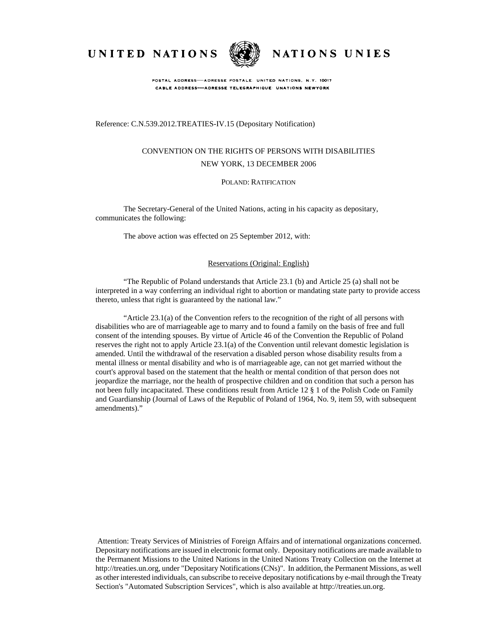UNITED NATIONS



NATIONS UNIES

POSTAL ADDRESS-ADRESSE POSTALE: UNITED NATIONS, N.Y. 10017 CABLE ADDRESS-ADRESSE TELEGRAPHIQUE UNATIONS NEWYORK

## Reference: C.N.539.2012.TREATIES-IV.15 (Depositary Notification)

# CONVENTION ON THE RIGHTS OF PERSONS WITH DISABILITIES NEW YORK, 13 DECEMBER 2006

#### POLAND: RATIFICATION

The Secretary-General of the United Nations, acting in his capacity as depositary, communicates the following:

The above action was effected on 25 September 2012, with:

#### Reservations (Original: English)

"The Republic of Poland understands that Article 23.1 (b) and Article 25 (a) shall not be interpreted in a way conferring an individual right to abortion or mandating state party to provide access thereto, unless that right is guaranteed by the national law."

"Article 23.1(a) of the Convention refers to the recognition of the right of all persons with disabilities who are of marriageable age to marry and to found a family on the basis of free and full consent of the intending spouses. By virtue of Article 46 of the Convention the Republic of Poland reserves the right not to apply Article 23.1(a) of the Convention until relevant domestic legislation is amended. Until the withdrawal of the reservation a disabled person whose disability results from a mental illness or mental disability and who is of marriageable age, can not get married without the court's approval based on the statement that the health or mental condition of that person does not jeopardize the marriage, nor the health of prospective children and on condition that such a person has not been fully incapacitated. These conditions result from Article 12 § 1 of the Polish Code on Family and Guardianship (Journal of Laws of the Republic of Poland of 1964, No. 9, item 59, with subsequent amendments)."

 Attention: Treaty Services of Ministries of Foreign Affairs and of international organizations concerned. Depositary notifications are issued in electronic format only. Depositary notifications are made available to the Permanent Missions to the United Nations in the United Nations Treaty Collection on the Internet at http://treaties.un.org, under "Depositary Notifications (CNs)". In addition, the Permanent Missions, as well as other interested individuals, can subscribe to receive depositary notifications by e-mail through the Treaty Section's "Automated Subscription Services", which is also available at http://treaties.un.org.